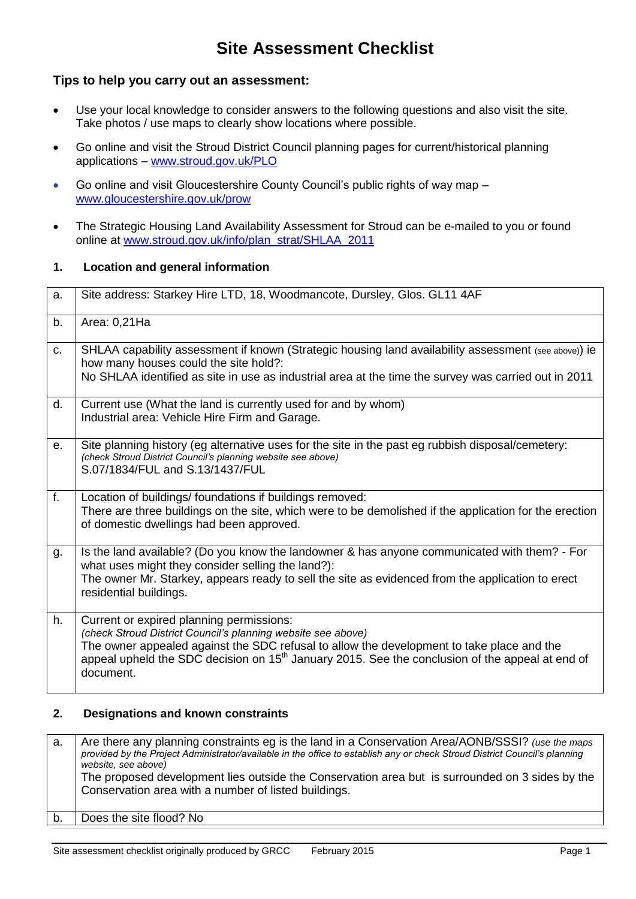# **Site Assessment Checklist**

### **Tips to help you carry out an assessment:**

- Use your local knowledge to consider answers to the following questions and also visit the site. Take photos / use maps to clearly show locations where possible.
- Go online and visit the Stroud District Council planning pages for current/historical planning applications – [www.stroud.gov.uk/PLO](http://www.stroud.gov.uk/PLO)
- Go online and visit Gloucestershire County Council's public rights of way map [www.gloucestershire.gov.uk/prow](http://www.gloucestershire.gov.uk/prow)
- The Strategic Housing Land Availability Assessment for Stroud can be e-mailed to you or found online at [www.stroud.gov.uk/info/plan\\_strat/SHLAA\\_2011](http://www.stroud.gov.uk/info/plan_strat/SHLAA_2011)

#### **1. Location and general information**

| a.             | Site address: Starkey Hire LTD, 18, Woodmancote, Dursley, Glos. GL11 4AF                                                                                                                                                                                                                                                          |
|----------------|-----------------------------------------------------------------------------------------------------------------------------------------------------------------------------------------------------------------------------------------------------------------------------------------------------------------------------------|
| b.             | Area: 0,21Ha                                                                                                                                                                                                                                                                                                                      |
| C <sub>1</sub> | SHLAA capability assessment if known (Strategic housing land availability assessment (see above)) ie<br>how many houses could the site hold?:<br>No SHLAA identified as site in use as industrial area at the time the survey was carried out in 2011                                                                             |
| d.             | Current use (What the land is currently used for and by whom)<br>Industrial area: Vehicle Hire Firm and Garage.                                                                                                                                                                                                                   |
| е.             | Site planning history (eg alternative uses for the site in the past eg rubbish disposal/cemetery:<br>(check Stroud District Council's planning website see above)<br>S.07/1834/FUL and S.13/1437/FUL                                                                                                                              |
| f <sub>r</sub> | Location of buildings/foundations if buildings removed:<br>There are three buildings on the site, which were to be demolished if the application for the erection<br>of domestic dwellings had been approved.                                                                                                                     |
| g.             | Is the land available? (Do you know the landowner & has anyone communicated with them? - For<br>what uses might they consider selling the land?):<br>The owner Mr. Starkey, appears ready to sell the site as evidenced from the application to erect<br>residential buildings.                                                   |
| h.             | Current or expired planning permissions:<br>(check Stroud District Council's planning website see above)<br>The owner appealed against the SDC refusal to allow the development to take place and the<br>appeal upheld the SDC decision on 15 <sup>th</sup> January 2015. See the conclusion of the appeal at end of<br>document. |

### **2. Designations and known constraints**

| а. | Are there any planning constraints eg is the land in a Conservation Area/AONB/SSSI? (use the maps<br>provided by the Project Administrator/available in the office to establish any or check Stroud District Council's planning<br>website, see above)<br>The proposed development lies outside the Conservation area but is surrounded on 3 sides by the<br>Conservation area with a number of listed buildings. |
|----|-------------------------------------------------------------------------------------------------------------------------------------------------------------------------------------------------------------------------------------------------------------------------------------------------------------------------------------------------------------------------------------------------------------------|
|    | Does the site flood? No                                                                                                                                                                                                                                                                                                                                                                                           |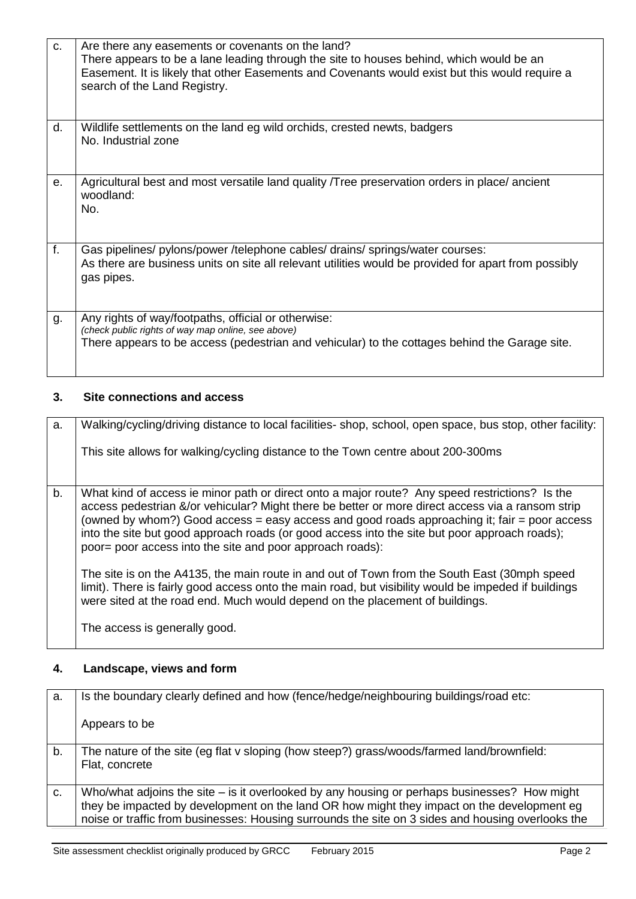| C. | Are there any easements or covenants on the land?<br>There appears to be a lane leading through the site to houses behind, which would be an<br>Easement. It is likely that other Easements and Covenants would exist but this would require a<br>search of the Land Registry. |
|----|--------------------------------------------------------------------------------------------------------------------------------------------------------------------------------------------------------------------------------------------------------------------------------|
| d. | Wildlife settlements on the land eg wild orchids, crested newts, badgers<br>No. Industrial zone                                                                                                                                                                                |
| е. | Agricultural best and most versatile land quality Tree preservation orders in place/ancient<br>woodland:<br>No.                                                                                                                                                                |
| f. | Gas pipelines/ pylons/power / telephone cables/ drains/ springs/water courses:<br>As there are business units on site all relevant utilities would be provided for apart from possibly<br>gas pipes.                                                                           |
| g. | Any rights of way/footpaths, official or otherwise:<br>(check public rights of way map online, see above)<br>There appears to be access (pedestrian and vehicular) to the cottages behind the Garage site.                                                                     |

## **3. Site connections and access**

| a. | Walking/cycling/driving distance to local facilities-shop, school, open space, bus stop, other facility:<br>This site allows for walking/cycling distance to the Town centre about 200-300ms                                                                                                                                                                                                                                                                      |
|----|-------------------------------------------------------------------------------------------------------------------------------------------------------------------------------------------------------------------------------------------------------------------------------------------------------------------------------------------------------------------------------------------------------------------------------------------------------------------|
| b. | What kind of access ie minor path or direct onto a major route? Any speed restrictions? Is the<br>access pedestrian &/or vehicular? Might there be better or more direct access via a ransom strip<br>(owned by whom?) Good access = easy access and good roads approaching it; fair = poor access<br>into the site but good approach roads (or good access into the site but poor approach roads);<br>poor = poor access into the site and poor approach roads): |
|    | The site is on the A4135, the main route in and out of Town from the South East (30mph speed<br>limit). There is fairly good access onto the main road, but visibility would be impeded if buildings<br>were sited at the road end. Much would depend on the placement of buildings.                                                                                                                                                                              |
|    | The access is generally good.                                                                                                                                                                                                                                                                                                                                                                                                                                     |

# **4. Landscape, views and form**

| a. | Is the boundary clearly defined and how (fence/hedge/neighbouring buildings/road etc:                                                                                                                                                                                                             |
|----|---------------------------------------------------------------------------------------------------------------------------------------------------------------------------------------------------------------------------------------------------------------------------------------------------|
|    | Appears to be                                                                                                                                                                                                                                                                                     |
| b. | The nature of the site (eg flat v sloping (how steep?) grass/woods/farmed land/brownfield:<br>Flat, concrete                                                                                                                                                                                      |
| C. | Who/what adjoins the site $-$ is it overlooked by any housing or perhaps businesses? How might<br>they be impacted by development on the land OR how might they impact on the development eg<br>noise or traffic from businesses: Housing surrounds the site on 3 sides and housing overlooks the |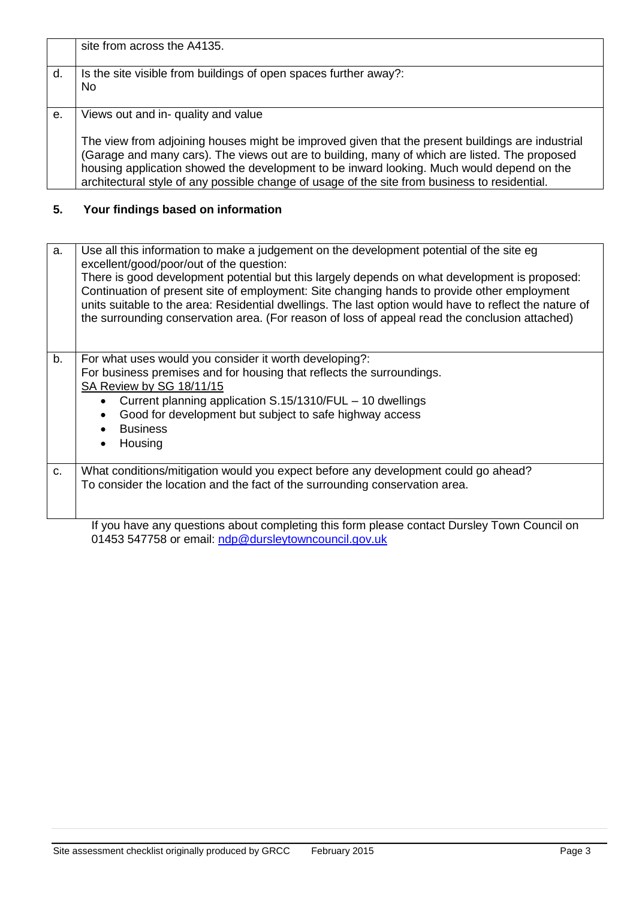|    | site from across the A4135.                                                                                                                                                                                                                                                                                                                                                                     |
|----|-------------------------------------------------------------------------------------------------------------------------------------------------------------------------------------------------------------------------------------------------------------------------------------------------------------------------------------------------------------------------------------------------|
|    |                                                                                                                                                                                                                                                                                                                                                                                                 |
| d. | Is the site visible from buildings of open spaces further away?:                                                                                                                                                                                                                                                                                                                                |
|    | No.                                                                                                                                                                                                                                                                                                                                                                                             |
|    |                                                                                                                                                                                                                                                                                                                                                                                                 |
| e. | Views out and in- quality and value                                                                                                                                                                                                                                                                                                                                                             |
|    | The view from adjoining houses might be improved given that the present buildings are industrial<br>(Garage and many cars). The views out are to building, many of which are listed. The proposed<br>housing application showed the development to be inward looking. Much would depend on the<br>architectural style of any possible change of usage of the site from business to residential. |

# **5. Your findings based on information**

| a. | Use all this information to make a judgement on the development potential of the site eg<br>excellent/good/poor/out of the question:                                                                     |
|----|----------------------------------------------------------------------------------------------------------------------------------------------------------------------------------------------------------|
|    | There is good development potential but this largely depends on what development is proposed:<br>Continuation of present site of employment: Site changing hands to provide other employment             |
|    | units suitable to the area: Residential dwellings. The last option would have to reflect the nature of<br>the surrounding conservation area. (For reason of loss of appeal read the conclusion attached) |
|    |                                                                                                                                                                                                          |
|    |                                                                                                                                                                                                          |
| b. | For what uses would you consider it worth developing?:                                                                                                                                                   |
|    | For business premises and for housing that reflects the surroundings.                                                                                                                                    |
|    | SA Review by SG 18/11/15                                                                                                                                                                                 |
|    | Current planning application S.15/1310/FUL – 10 dwellings<br>$\bullet$                                                                                                                                   |
|    | Good for development but subject to safe highway access<br>$\bullet$                                                                                                                                     |
|    | <b>Business</b><br>$\bullet$                                                                                                                                                                             |
|    | Housing<br>$\bullet$                                                                                                                                                                                     |
|    |                                                                                                                                                                                                          |
| C. | What conditions/mitigation would you expect before any development could go ahead?                                                                                                                       |
|    | To consider the location and the fact of the surrounding conservation area.                                                                                                                              |
|    |                                                                                                                                                                                                          |
|    |                                                                                                                                                                                                          |
|    | If you have any questions about completing this form please contact Dursley Town Council on                                                                                                              |

Site assessment checklist originally produced by GRCC February 2015 **Page 3** Page 3

01453 547758 or email: [ndp@dursleytowncouncil.gov.uk](mailto:ndp@dursleytowncouncil.gov.uk)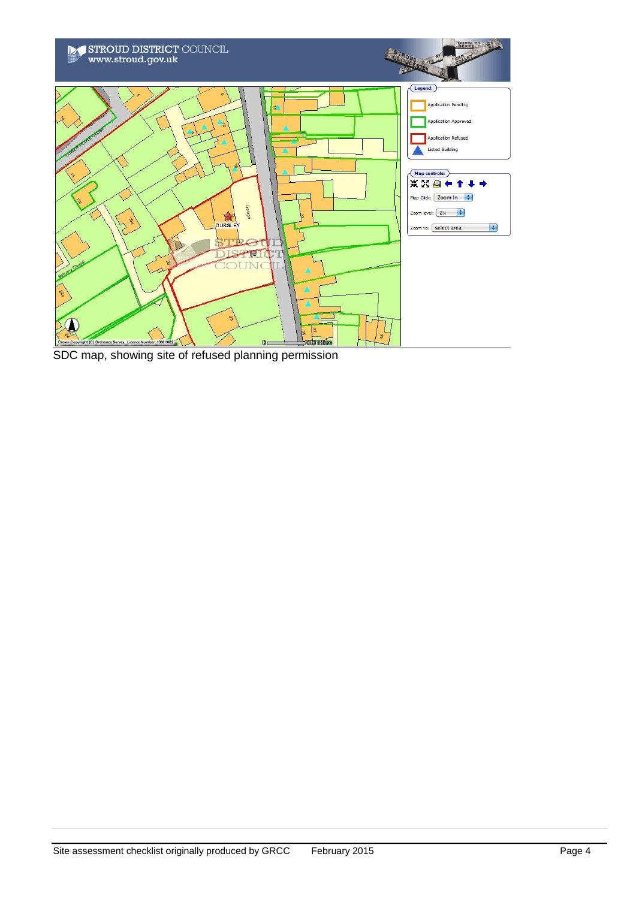

SDC map, showing site of refused planning permission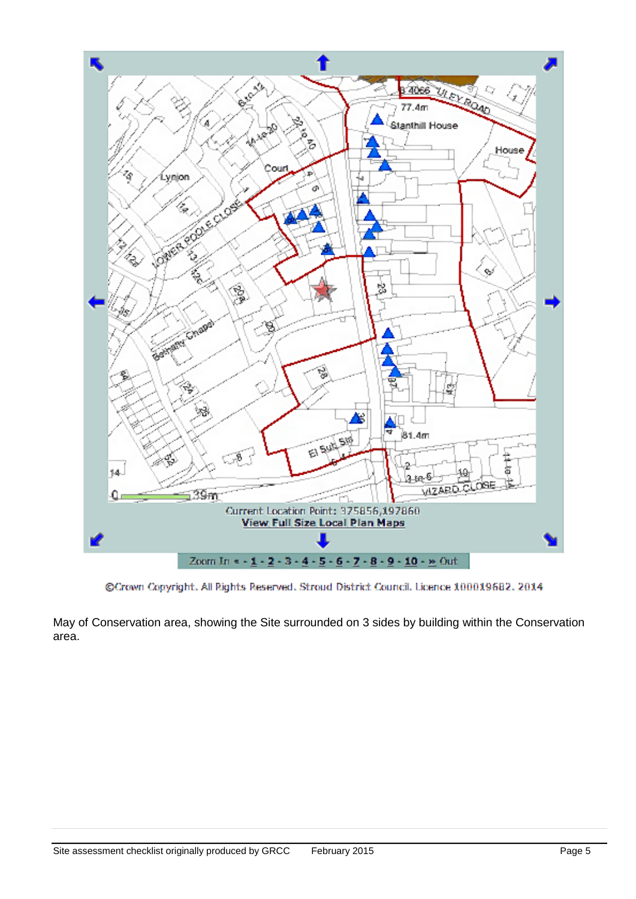

@Crown Copyright. All Rights Reserved. Stroud District Council. Licence 100019682. 2014

May of Conservation area, showing the Site surrounded on 3 sides by building within the Conservation area.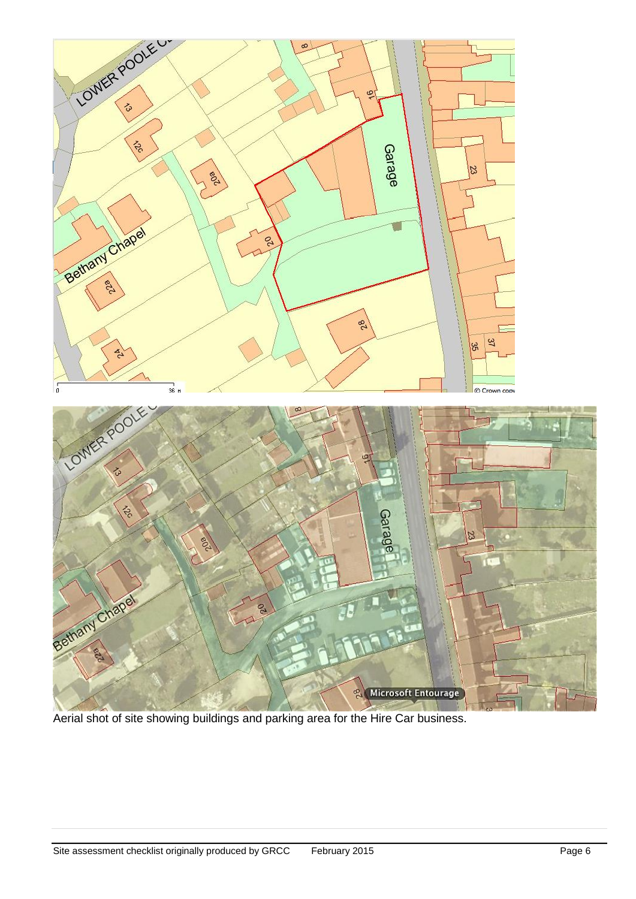

Aerial shot of site showing buildings and parking area for the Hire Car business.